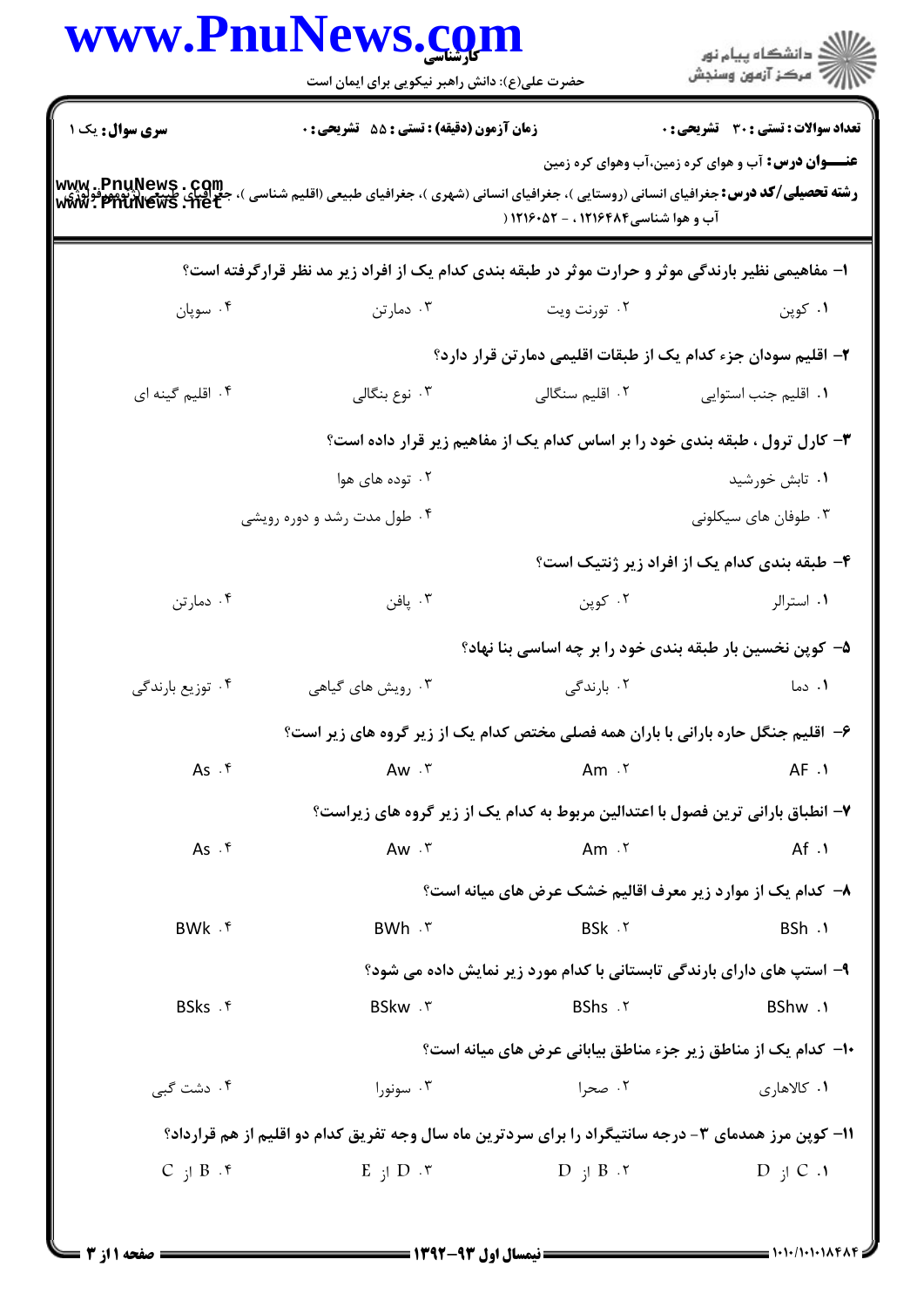|                        | www.Pnurews.cg<br>حضرت علی(ع): دانش راهبر نیکویی برای ایمان است                                                                                                             |                                                                        | ≦ دانشڪاه پيام نور<br>ر∕ = مرڪز آزمون وسنڊش                                     |
|------------------------|-----------------------------------------------------------------------------------------------------------------------------------------------------------------------------|------------------------------------------------------------------------|---------------------------------------------------------------------------------|
| <b>سری سوال :</b> یک ۱ | <b>زمان آزمون (دقیقه) : تستی : 55 تشریحی : 0</b>                                                                                                                            |                                                                        | تعداد سوالات : تستى : 30 - تشريحي : 0                                           |
|                        | www . PnuNews . Com<br>ر <b>شته تحصیلی/کد درس:</b> جغرافیای انسانی (روستایی )، جغرافیای انسانی (شهری )، جغرافیای است )، جغرافیای طبیعی (زنومورفولوژی<br>WWW . PnuNews . net | آب و هوا شناسی۱۲۱۶۴۸۴ ، - ۱۲۱۶۰۵۲ (                                    | <b>عنـــوان درس:</b> آب و هوای کره زمین،آب وهوای کره زمین                       |
|                        | ا- مفاهیمی نظیر بارندگی موثر و حرارت موثر در طبقه بندی کدام یک از افراد زیر مد نظر قرارگرفته است؟                                                                           |                                                                        |                                                                                 |
| ۰۴ سوپان               | ۰۳ دمارتن                                                                                                                                                                   | ۰۲ تورنت ویت                                                           | ۰۱ کوپن                                                                         |
|                        |                                                                                                                                                                             |                                                                        | ۲- اقلیم سودان جزء کدام یک از طبقات اقلیمی دمارتن قرار دارد؟                    |
| ۰۴ اقلیم گینه ای       | ۰۳ نوع بنگالی                                                                                                                                                               | ۰۲ اقلیم سنگالی                                                        | ۰۱ اقلیم جنب استوایی                                                            |
|                        |                                                                                                                                                                             |                                                                        | ۳- کارل ترول ، طبقه بندی خود را بر اساس کدام یک از مفاهیم زیر قرار داده است؟    |
|                        | ۰۲ توده های هوا                                                                                                                                                             |                                                                        | ۰۱ تابش خورشید                                                                  |
|                        | ۰۴ طول مدت رشد و دوره رویشی                                                                                                                                                 |                                                                        | ۰۳ طوفان های سیکلونی                                                            |
|                        |                                                                                                                                                                             |                                                                        | ۴- طبقه بندی کدام یک از افراد زیر ژنتیک است؟                                    |
| ۰۴ دمارتن              | ۰۳ پافن                                                                                                                                                                     | ۰۲ کوپن                                                                | ۰۱ استرالر                                                                      |
|                        |                                                                                                                                                                             |                                                                        | ۵– کوپن نخسین بار طبقه بندی خود را بر چه اساسی بنا نهاد؟                        |
| ۰۴ توزیع بارندگی       | ۰۳ رویش های گیاهی                                                                                                                                                           | ۰۲ بارندگی                                                             | ۰۱ دما                                                                          |
|                        | ۶– اقلیم جنگل حاره بارانی با باران همه فصلی مختص کدام یک از زیر گروه های زیر است؟                                                                                           |                                                                        |                                                                                 |
| As.                    | $Aw \cdot^r$                                                                                                                                                                | Am $.5$                                                                | AF.1                                                                            |
|                        |                                                                                                                                                                             |                                                                        | ۷– انطباق بارانی ترین فصول با اعتدالین مربوط به کدام یک از زیر گروه های زیراست؟ |
| As.                    | $Aw \cdot r$                                                                                                                                                                | Am $\cdot$ $\cdot$                                                     | Af.                                                                             |
|                        |                                                                                                                                                                             |                                                                        | ۸– کدام یک از موارد زیر معرف اقالیم خشک عرض های میانه است؟                      |
| BWk .f                 | BWh . ٣                                                                                                                                                                     | BSk . ٢                                                                | BSh .1                                                                          |
|                        |                                                                                                                                                                             | ۹- استپ های دارای بارندگی تابستانی با کدام مورد زیر نمایش داده می شود؟ |                                                                                 |
| BSks .f                | BSkw . ٣                                                                                                                                                                    | BShs . ٢                                                               | BShw.                                                                           |
|                        |                                                                                                                                                                             |                                                                        | ∙ا− کدام یک از مناطق زیر جزء مناطق بیابانی عرض های میانه است؟                   |
| ۰۴ دشت گېې             | ۰۳ سونورا                                                                                                                                                                   | ۰۲ صحرا                                                                | ١. كالاهارى                                                                     |
|                        | 1۱- کوین مرز همدمای ۳- درجه سانتیگراد را برای سردترین ماه سال وجه تفریق کدام دو اقلیم از هم قرارداد؟                                                                        |                                                                        |                                                                                 |
| $C$ ; $B \cdot$        | $E$ ; $D \cdot \tau$                                                                                                                                                        | $D$ ; $B \cdot Y$                                                      | $D$ ; $C \cdot 1$                                                               |
|                        |                                                                                                                                                                             |                                                                        |                                                                                 |

 $\blacksquare$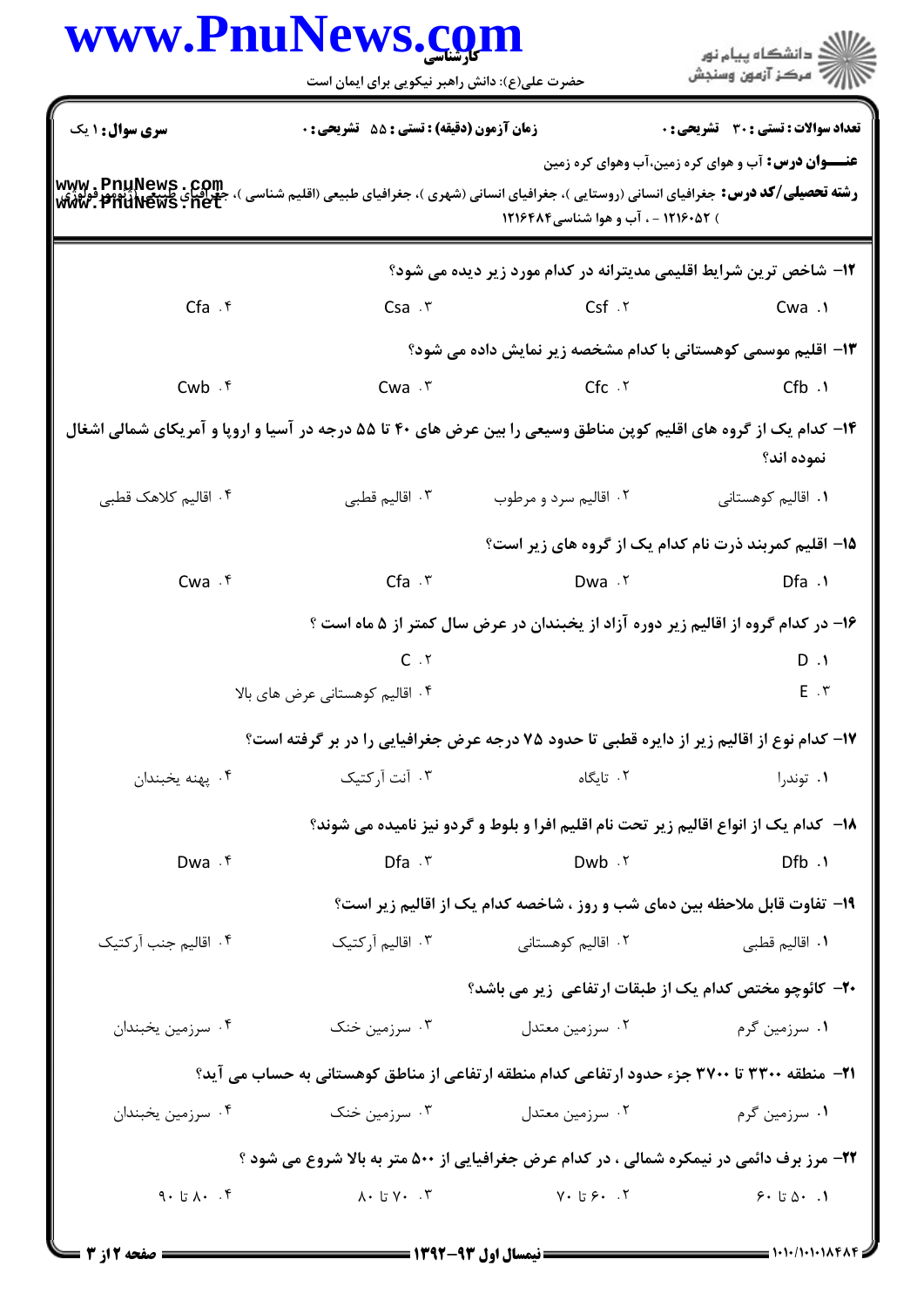| www.PnuNews.com                                  |                                                  |                                     | انشگاه پيام نور)<br>اسرکز آزمون وسنجش                                                                                           |
|--------------------------------------------------|--------------------------------------------------|-------------------------------------|---------------------------------------------------------------------------------------------------------------------------------|
|                                                  | حضرت علی(ع): دانش راهبر نیکویی برای ایمان است    |                                     |                                                                                                                                 |
| <b>سری سوال : ۱ یک</b>                           | <b>زمان آزمون (دقیقه) : تستی : 55 تشریحی : 0</b> |                                     | <b>تعداد سوالات : تستی : 30 ٪ تشریحی : 0</b>                                                                                    |
|                                                  |                                                  |                                     | <b>عنـــوان درس:</b> آب و هوای کره زمین،آب وهوای کره زمین                                                                       |
| www.pnuNews.com<br><b><i>WW. PHUNews:net</i></b> |                                                  | ) ۱۲۱۶۰۵۲ - ، آب و هوا شناسی۱۲۱۶۴۸۴ | <b>رشته تحصیلی/کد درس:</b> جغرافیای انسانی (روستایی )، جغرافیای انسانی (شهری )، جغرافیای طبیعی (اقلیم شناسی )،                  |
|                                                  |                                                  |                                     | ۱۲- شاخص ترین شرایط اقلیمی مدیترانه در کدام مورد زیر دیده می شود؟                                                               |
| $Cfa$ $\cdot$ $\zeta$                            | $Csa \cdot r$                                    | $Csf$ . $\ddot{\ }$                 | Cwa .١                                                                                                                          |
|                                                  |                                                  |                                     | ۱۳– اقلیم موسمی کوهستانی با کدام مشخصه زیر نمایش داده می شود؟                                                                   |
| $Cwb \cdot$ *                                    | $Cwa \cdot r$                                    | $Cfc \cdot Y$                       | ۰۱. Cfb                                                                                                                         |
|                                                  |                                                  |                                     | ۱۴– کدام یک از گروه های اقلیم کوپن مناطق وسیعی را بین عرض های ۴۰ تا ۵۵ درجه در آسیا و اروپا و آمریکای شمالی اشغال<br>نموده اند؟ |
| ۰۴ اقالیم کلاهک قطبی                             | ۰۳ اقالیم قطبی                                   | ۰۲ اقالیم سرد و مرطوب               | ۰۱ اقالیم کوهستانی                                                                                                              |
|                                                  |                                                  |                                     | ۱۵– اقلیم کمربند ذرت نام کدام یک از گروه های زیر است؟                                                                           |
| $Cwa \cdot f$                                    | $Cfa \cdot r$                                    | Dwa .٢                              | $Dfa \cdot \theta$                                                                                                              |
|                                                  |                                                  |                                     | ۱۶– در کدام گروه از اقالیم زیر دوره آزاد از یخبندان در عرض سال کمتر از ۵ ماه است ؟                                              |
|                                                  | C.7                                              |                                     | $D \cdot 1$                                                                                                                     |
|                                                  | ۰۴ اقالیم کوهستانی عرض های بالا                  |                                     | $E \cdot r$                                                                                                                     |
|                                                  |                                                  |                                     | ۱۷- کدام نوع از اقالیم زیر از دایره قطبی تا حدود ۷۵ درجه عرض جغرافیایی را در بر گرفته است؟                                      |
| ۰۴ يهنه يخبندان                                  | ۰۳ آنت آرکتیک                                    | ۰۲ تایگاه                           | ۰۱ توندرا                                                                                                                       |
|                                                  |                                                  |                                     | ۱۸− کدام یک از انواع اقالیم زیر تحت نام اقلیم افرا و بلوط و گردو نیز نامیده می شوند؟                                            |
| Dwa . f                                          | $Dfa \cdot r$                                    | Dwb .Y                              | $Dfb \cdot \theta$                                                                                                              |
|                                                  |                                                  |                                     | ۱۹- تفاوت قابل ملاحظه بین دمای شب و روز ، شاخصه کدام یک از اقالیم زیر است؟                                                      |
| ۰۴ اقالیم جنب آر کتیک                            | ۰۳ اقالیم آرکتیک                                 | ۰۲ اقالیم کوهستانی                  | ۰۱ اقالیم قطب <i>ی</i>                                                                                                          |
|                                                  |                                                  |                                     | ۲۰– کائوچو مختص کدام یک از طبقات ارتفاعی زیر می باشد؟                                                                           |
| ۰۴ سرزمین یخبندان                                | ۰۳ سرزمین خنک                                    | ۰۲ سرزمین معتدل                     | ۰۱ سرزمین گرم                                                                                                                   |

۲۱– منطقه ۳۳۰۰ تا ۳۷۰۰ جزء حدود ارتفاعی کدام منطقه ارتفاعی از مناطق کوهستانی به حساب می آید؟

۰۱ سرزمین گرم مستان در تابین است. ۲۰ سرزمین خنک مستان کشور می شود. از سرزمین است به سرزمین است کشور است کشور ک **۲۲**- مرز برف دائمی در نیمکره شمالی ، در کدام عرض جغرافیایی از ۵۰۰ متر به بالا شروع می شود ؟  $\lambda \cdot U V \cdot T$   $V \cdot T$   $V \cdot U \cdot T$  $9. i \times 1.$  تا  $9$  $9.1$  ،  $0.1$  ،  $9.1$